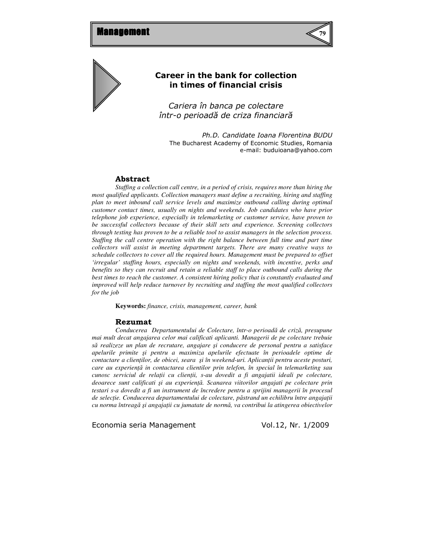



# Career in the bank for collection in times of financial crisis

Cariera în banca pe colectare într-o perioadă de criza financiară

Ph.D. Candidate Ioana Florentina BUDU The Bucharest Academy of Economic Studies, Romania e-mail: buduioana@yahoo.com

### Abstract

*Staffing a collection call centre, in a period of crisis, requires more than hiring the most qualified applicants. Collection managers must define a recruiting, hiring and staffing plan to meet inbound call service levels and maximize outbound calling during optimal customer contact times, usually on nights and weekends. Job candidates who have prior telephone job experience, especially in telemarketing or customer service, have proven to be successful collectors because of their skill sets and experience. Screening collectors through testing has proven to be a reliable tool to assist managers in the selection process. Staffing the call centre operation with the right balance between full time and part time collectors will assist in meeting department targets. There are many creative ways to schedule collectors to cover all the required hours. Management must be prepared to offset 'irregular' staffing hours, especially on nights and weekends, with incentive, perks and benefits so they can recruit and retain a reliable staff to place outbound calls during the best times to reach the customer. A consistent hiring policy that is constantly evaluated and improved will help reduce turnover by recruiting and staffing the most qualified collectors for the job*

**Keywords:** *finance, crisis, management, career, bank* 

#### Rezumat

*Conducerea Departamentului de Colectare, într-o perioad*ă *de criz*ă*, presupune mai mult decat angajarea celor mai calificati aplicanti. Managerii de pe colectare trebuie s*ă *realizeze un plan de recrutare, angajare* ş*i conducere de personal pentru a satisface apelurile primite* ş*i pentru a maximiza apelurile efectuate în perioadele optime de contactare a clien*ţ*ilor, de obicei, seara* ş*i în weekend-uri. Aplican*ţ*ii pentru aceste posturi, care au experien*ţă *in contactarea clientilor prin telefon, în special în telemarketing sau cunosc serviciul de rela*ţ*ii cu clien*ţ*ii, s-au dovedit a fi angajatii ideali pe colectare, deoarece sunt calificati* ş*i au experien*ţă*. Scanarea viitorilor angajati pe colectare prin testari s-a dovedit a fi un instrument de încredere pentru a sprijini managerii în procesul de selec*ţ*ie. Conducerea departamentului de colectare, p*ă*strand un echilibru între angaja*ţ*ii cu norma întreag*ă ş*i angaja*ţ*ii cu jumatate de norm*ă*, va contribui la atingerea obiectivelor*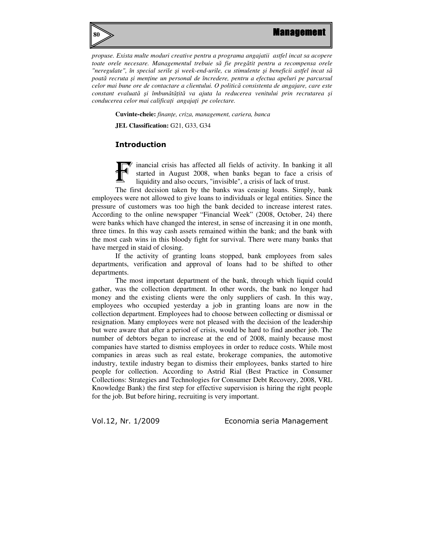



*propuse. Exista multe moduri creative pentru a programa angajatii astfel incat sa acopere toate orele necesare. Managementul trebuie s*ă *fie preg*ă*tit pentru a recompensa orele "neregulate", în special serile* ş*i week-end-urile, cu stimulente* ş*i beneficii astfel incat s*ă *poat*ă *recruta* ş*i men*ţ*ine un personal de încredere, pentru a efectua apeluri pe parcursul celor mai bune ore de contactare a clientului. O politic*ă *consistenta de angajare, care este constant evaluat*ă ş*i îmbun*ă*t*ăţ*it*ă *va ajuta la reducerea venitului prin recrutarea* ş*i conducerea celor mai califica*ţ*i angaja*ţ*i pe colectare.* 

**Cuvinte-cheie:** *finan*ţ*e, criza, management, cariera, banca* 

**JEL Classification: G21, G33, G34** 

# Introduction

inancial crisis has affected all fields of activity. In banking it all started in August 2008, when banks began to face a crisis of liquidity and also occurs, "invisible", a crisis of lack of trust. F

 The first decision taken by the banks was ceasing loans. Simply, bank employees were not allowed to give loans to individuals or legal entities. Since the pressure of customers was too high the bank decided to increase interest rates. According to the online newspaper "Financial Week" (2008, October, 24) there were banks which have changed the interest, in sense of increasing it in one month, three times. In this way cash assets remained within the bank; and the bank with the most cash wins in this bloody fight for survival. There were many banks that have merged in staid of closing.

 If the activity of granting loans stopped, bank employees from sales departments, verification and approval of loans had to be shifted to other departments.

 The most important department of the bank, through which liquid could gather, was the collection department. In other words, the bank no longer had money and the existing clients were the only suppliers of cash. In this way, employees who occupied yesterday a job in granting loans are now in the collection department. Employees had to choose between collecting or dismissal or resignation. Many employees were not pleased with the decision of the leadership but were aware that after a period of crisis, would be hard to find another job. The number of debtors began to increase at the end of 2008, mainly because most companies have started to dismiss employees in order to reduce costs. While most companies in areas such as real estate, brokerage companies, the automotive industry, textile industry began to dismiss their employees, banks started to hire people for collection. According to Astrid Rial (Best Practice in Consumer Collections: Strategies and Technologies for Consumer Debt Recovery, 2008, VRL Knowledge Bank) the first step for effective supervision is hiring the right people for the job. But before hiring, recruiting is very important.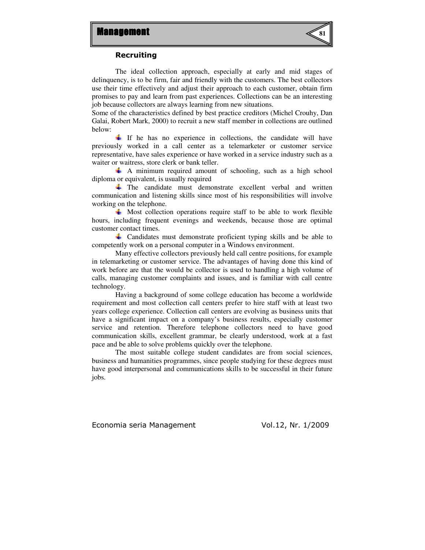

#### Recruiting

 The ideal collection approach, especially at early and mid stages of delinquency, is to be firm, fair and friendly with the customers. The best collectors use their time effectively and adjust their approach to each customer, obtain firm promises to pay and learn from past experiences. Collections can be an interesting job because collectors are always learning from new situations.

Some of the characteristics defined by best practice creditors (Michel Crouhy, Dan Galai, Robert Mark, 2000) to recruit a new staff member in collections are outlined below:

 $\perp$  If he has no experience in collections, the candidate will have previously worked in a call center as a telemarketer or customer service representative, have sales experience or have worked in a service industry such as a waiter or waitress, store clerk or bank teller.

 $\uparrow$  A minimum required amount of schooling, such as a high school diploma or equivalent, is usually required

The candidate must demonstrate excellent verbal and written communication and listening skills since most of his responsibilities will involve working on the telephone.

 $\overline{\mathbf{u}}$  Most collection operations require staff to be able to work flexible hours, including frequent evenings and weekends, because those are optimal customer contact times.

Candidates must demonstrate proficient typing skills and be able to competently work on a personal computer in a Windows environment.

 Many effective collectors previously held call centre positions, for example in telemarketing or customer service. The advantages of having done this kind of work before are that the would be collector is used to handling a high volume of calls, managing customer complaints and issues, and is familiar with call centre technology.

 Having a background of some college education has become a worldwide requirement and most collection call centers prefer to hire staff with at least two years college experience. Collection call centers are evolving as business units that have a significant impact on a company's business results, especially customer service and retention. Therefore telephone collectors need to have good communication skills, excellent grammar, be clearly understood, work at a fast pace and be able to solve problems quickly over the telephone.

 The most suitable college student candidates are from social sciences, business and humanities programmes, since people studying for these degrees must have good interpersonal and communications skills to be successful in their future jobs.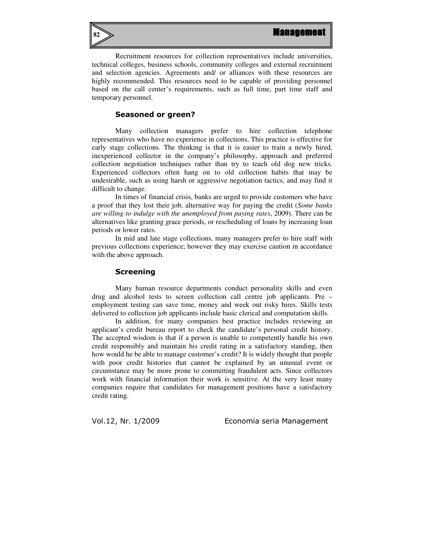

 Recruitment resources for collection representatives include universities, technical colleges, business schools, community colleges and external recruitment and selection agencies. Agreements and/ or alliances with these resources are highly recommended. This resources need to be capable of providing personnel based on the call center's requirements, such as full time, part time staff and temporary personnel.

# Seasoned or green?

 Many collection managers prefer to hire collection telephone representatives who have no experience in collections. This practice is effective for early stage collections. The thinking is that it is easier to train a newly hired, inexperienced collector in the company's philosophy, approach and preferred collection negotiation techniques rather than try to teach old dog new tricks. Experienced collectors often hang on to old collection habits that may be undesirable, such as using harsh or aggressive negotiation tactics, and may find it difficult to change.

 In times of financial crisis, banks are urged to provide customers who have a proof that they lost their job, alternative way for paying the credit (*Some banks are willing to indulge with the unemployed from paying rates*, 2009). There can be alternatives like granting grace periods, or rescheduling of loans by increasing loan periods or lower rates.

 In mid and late stage collections, many managers prefer to hire staff with previous collections experience; however they may exercise caution in accordance with the above approach.

#### Screening

 Many human resource departments conduct personality skills and even drug and alcohol tests to screen collection call centre job applicants. Pre – employment testing can save time, money and week out risky hires. Skills tests delivered to collection job applicants include basic clerical and computation skills.

 In addition, for many companies best practice includes reviewing an applicant's credit bureau report to check the candidate's personal credit history. The accepted wisdom is that if a person is unable to competently handle his own credit responsibly and maintain his credit rating in a satisfactory standing, then how would he be able to manage customer's credit? It is widely thought that people with poor credit histories that cannot be explained by an unusual event or circumstance may be more prone to committing fraudulent acts. Since collectors work with financial information their work is sensitive. At the very least many companies require that candidates for management positions have a satisfactory credit rating.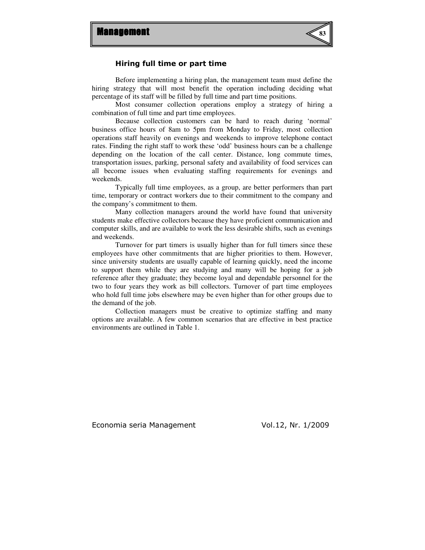

# Hiring full time or part time

 Before implementing a hiring plan, the management team must define the hiring strategy that will most benefit the operation including deciding what percentage of its staff will be filled by full time and part time positions.

 Most consumer collection operations employ a strategy of hiring a combination of full time and part time employees.

 Because collection customers can be hard to reach during 'normal' business office hours of 8am to 5pm from Monday to Friday, most collection operations staff heavily on evenings and weekends to improve telephone contact rates. Finding the right staff to work these 'odd' business hours can be a challenge depending on the location of the call center. Distance, long commute times, transportation issues, parking, personal safety and availability of food services can all become issues when evaluating staffing requirements for evenings and weekends.

 Typically full time employees, as a group, are better performers than part time, temporary or contract workers due to their commitment to the company and the company's commitment to them.

 Many collection managers around the world have found that university students make effective collectors because they have proficient communication and computer skills, and are available to work the less desirable shifts, such as evenings and weekends.

 Turnover for part timers is usually higher than for full timers since these employees have other commitments that are higher priorities to them. However, since university students are usually capable of learning quickly, need the income to support them while they are studying and many will be hoping for a job reference after they graduate; they become loyal and dependable personnel for the two to four years they work as bill collectors. Turnover of part time employees who hold full time jobs elsewhere may be even higher than for other groups due to the demand of the job.

 Collection managers must be creative to optimize staffing and many options are available. A few common scenarios that are effective in best practice environments are outlined in Table 1.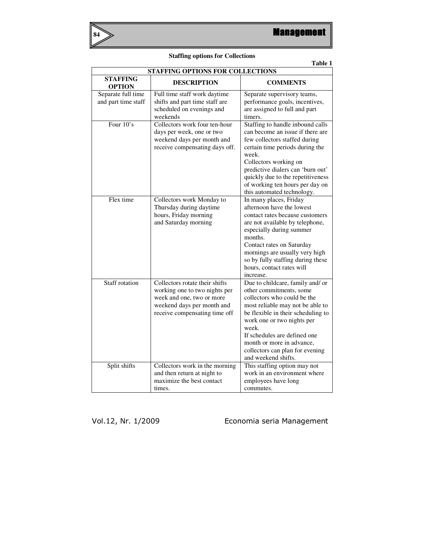

| Table 1                                   |                                                                                                                                                             |                                                                                                                                                                                                                                                                                                                                    |
|-------------------------------------------|-------------------------------------------------------------------------------------------------------------------------------------------------------------|------------------------------------------------------------------------------------------------------------------------------------------------------------------------------------------------------------------------------------------------------------------------------------------------------------------------------------|
| <b>STAFFING OPTIONS FOR COLLECTIONS</b>   |                                                                                                                                                             |                                                                                                                                                                                                                                                                                                                                    |
| <b>STAFFING</b><br><b>OPTION</b>          | <b>DESCRIPTION</b>                                                                                                                                          | <b>COMMENTS</b>                                                                                                                                                                                                                                                                                                                    |
| Separate full time<br>and part time staff | Full time staff work daytime<br>shifts and part time staff are<br>scheduled on evenings and<br>weekends                                                     | Separate supervisory teams,<br>performance goals, incentives,<br>are assigned to full and part<br>timers.                                                                                                                                                                                                                          |
| Four 10's                                 | Collectors work four ten-hour<br>days per week, one or two<br>weekend days per month and<br>receive compensating days off.                                  | Staffing to handle inbound calls<br>can become an issue if there are<br>few collectors staffed during<br>certain time periods during the<br>week.<br>Collectors working on<br>predictive dialers can 'burn out'<br>quickly due to the repetitiveness<br>of working ten hours per day on<br>this automated technology.              |
| Flex time                                 | Collectors work Monday to<br>Thursday during daytime<br>hours, Friday morning<br>and Saturday morning                                                       | In many places, Friday<br>afternoon have the lowest<br>contact rates because customers<br>are not available by telephone,<br>especially during summer<br>months.<br>Contact rates on Saturday<br>mornings are usually very high<br>so by fully staffing during these<br>hours, contact rates will<br>increase.                     |
| <b>Staff</b> rotation                     | Collectors rotate their shifts<br>working one to two nights per<br>week and one, two or more<br>weekend days per month and<br>receive compensating time off | Due to childcare, family and/ or<br>other commitments, some<br>collectors who could be the<br>most reliable may not be able to<br>be flexible in their scheduling to<br>work one or two nights per<br>week.<br>If schedules are defined one<br>month or more in advance,<br>collectors can plan for evening<br>and weekend shifts. |
| Split shifts                              | Collectors work in the morning<br>and then return at night to<br>maximize the best contact<br>times.                                                        | This staffing option may not<br>work in an environment where<br>employees have long<br>commutes.                                                                                                                                                                                                                                   |

# **Staffing options for Collections**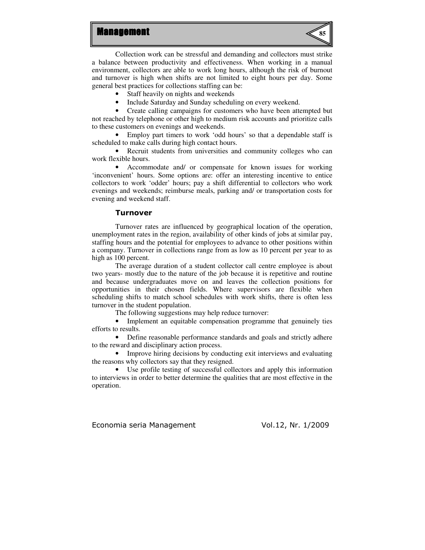# **Management**



 Collection work can be stressful and demanding and collectors must strike a balance between productivity and effectiveness. When working in a manual environment, collectors are able to work long hours, although the risk of burnout and turnover is high when shifts are not limited to eight hours per day. Some general best practices for collections staffing can be:

• Staff heavily on nights and weekends

• Include Saturday and Sunday scheduling on every weekend.<br>• Create calling campaigns for customers who have been atte

• Create calling campaigns for customers who have been attempted but not reached by telephone or other high to medium risk accounts and prioritize calls to these customers on evenings and weekends.

• Employ part timers to work 'odd hours' so that a dependable staff is scheduled to make calls during high contact hours.

• Recruit students from universities and community colleges who can work flexible hours.

• Accommodate and/ or compensate for known issues for working 'inconvenient' hours. Some options are: offer an interesting incentive to entice collectors to work 'odder' hours; pay a shift differential to collectors who work evenings and weekends; reimburse meals, parking and/ or transportation costs for evening and weekend staff.

#### Turnover

 Turnover rates are influenced by geographical location of the operation, unemployment rates in the region, availability of other kinds of jobs at similar pay, staffing hours and the potential for employees to advance to other positions within a company. Turnover in collections range from as low as 10 percent per year to as high as 100 percent.

 The average duration of a student collector call centre employee is about two years- mostly due to the nature of the job because it is repetitive and routine and because undergraduates move on and leaves the collection positions for opportunities in their chosen fields. Where supervisors are flexible when scheduling shifts to match school schedules with work shifts, there is often less turnover in the student population.

The following suggestions may help reduce turnover:

• Implement an equitable compensation programme that genuinely ties efforts to results.

• Define reasonable performance standards and goals and strictly adhere to the reward and disciplinary action process.

• Improve hiring decisions by conducting exit interviews and evaluating the reasons why collectors say that they resigned.

• Use profile testing of successful collectors and apply this information to interviews in order to better determine the qualities that are most effective in the operation.